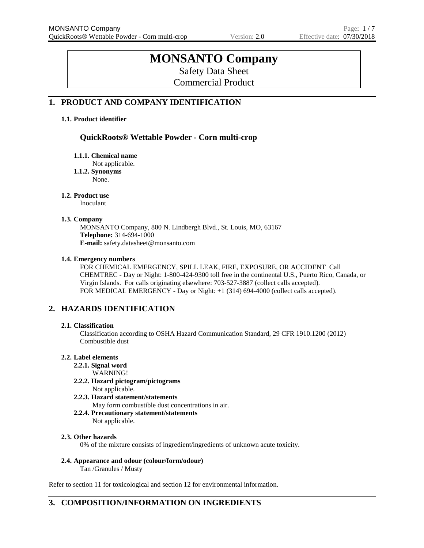# **MONSANTO Company**

Safety Data Sheet

Commercial Product

# **1. PRODUCT AND COMPANY IDENTIFICATION**

#### **1.1. Product identifier**

# **QuickRoots® Wettable Powder - Corn multi-crop**

**1.1.1. Chemical name**

Not applicable.

**1.1.2. Synonyms**

None.

#### **1.2. Product use**

Inoculant

#### **1.3. Company**

MONSANTO Company, 800 N. Lindbergh Blvd., St. Louis, MO, 63167 **Telephone:** 314-694-1000 **E-mail:** safety.datasheet@monsanto.com

#### **1.4. Emergency numbers**

FOR CHEMICAL EMERGENCY, SPILL LEAK, FIRE, EXPOSURE, OR ACCIDENT Call CHEMTREC - Day or Night: 1-800-424-9300 toll free in the continental U.S., Puerto Rico, Canada, or Virgin Islands. For calls originating elsewhere: 703-527-3887 (collect calls accepted). FOR MEDICAL EMERGENCY - Day or Night: +1 (314) 694-4000 (collect calls accepted).

# **2. HAZARDS IDENTIFICATION**

#### **2.1. Classification**

Classification according to OSHA Hazard Communication Standard, 29 CFR 1910.1200 (2012) Combustible dust

#### **2.2. Label elements**

**2.2.1. Signal word**

WARNING!

- **2.2.2. Hazard pictogram/pictograms** Not applicable.
- **2.2.3. Hazard statement/statements**

May form combustible dust concentrations in air.

**2.2.4. Precautionary statement/statements** Not applicable.

#### **2.3. Other hazards**

0% of the mixture consists of ingredient/ingredients of unknown acute toxicity.

**2.4. Appearance and odour (colour/form/odour)**

Tan /Granules / Musty

Refer to section 11 for toxicological and section 12 for environmental information.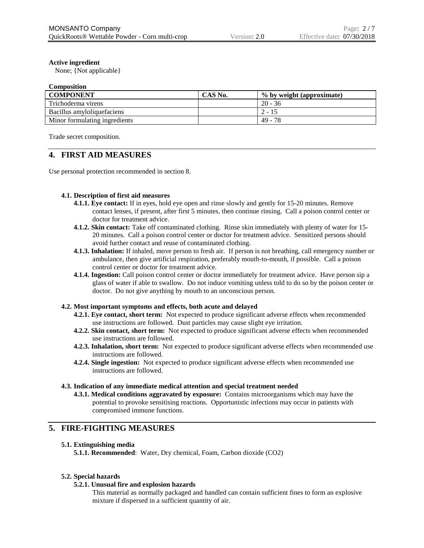#### **Active ingredient**

None; {Not applicable}

#### **Composition**

| <b>COMPONENT</b>              | CAS No. | % by weight (approximate) |
|-------------------------------|---------|---------------------------|
| Trichoderma virens            |         | $20 - 36$                 |
| Bacillus amyloliquefaciens    |         | $2 - 15$                  |
| Minor formulating ingredients |         | 49 - 78                   |

Trade secret composition.

# **4. FIRST AID MEASURES**

Use personal protection recommended in section 8.

#### **4.1. Description of first aid measures**

- **4.1.1. Eye contact:** If in eyes, hold eye open and rinse slowly and gently for 15-20 minutes. Remove contact lenses, if present, after first 5 minutes, then continue rinsing. Call a poison control center or doctor for treatment advice.
- **4.1.2. Skin contact:** Take off contaminated clothing. Rinse skin immediately with plenty of water for 15- 20 minutes. Call a poison control center or doctor for treatment advice. Sensitized persons should avoid further contact and reuse of contaminated clothing.
- **4.1.3. Inhalation:** If inhaled, move person to fresh air. If person is not breathing, call emergency number or ambulance, then give artificial respiration, preferably mouth-to-mouth, if possible. Call a poison control center or doctor for treatment advice.
- **4.1.4. Ingestion:** Call poison control center or doctor immediately for treatment advice. Have person sip a glass of water if able to swallow. Do not induce vomiting unless told to do so by the poison center or doctor. Do not give anything by mouth to an unconscious person.

#### **4.2. Most important symptoms and effects, both acute and delayed**

- **4.2.1. Eye contact, short term:** Not expected to produce significant adverse effects when recommended use instructions are followed. Dust particles may cause slight eye irritation.
- **4.2.2. Skin contact, short term:** Not expected to produce significant adverse effects when recommended use instructions are followed.
- **4.2.3. Inhalation, short term:** Not expected to produce significant adverse effects when recommended use instructions are followed.
- **4.2.4. Single ingestion:** Not expected to produce significant adverse effects when recommended use instructions are followed.

#### **4.3. Indication of any immediate medical attention and special treatment needed**

**4.3.1. Medical conditions aggravated by exposure:** Contains microorganisms which may have the potential to provoke sensitising reactions. Opportunistic infections may occur in patients with compromised immune functions.

# **5. FIRE-FIGHTING MEASURES**

#### **5.1. Extinguishing media**

**5.1.1. Recommended**: Water, Dry chemical, Foam, Carbon dioxide (CO2)

#### **5.2. Special hazards**

#### **5.2.1. Unusual fire and explosion hazards**

This material as normally packaged and handled can contain sufficient fines to form an explosive mixture if dispersed in a sufficient quantity of air.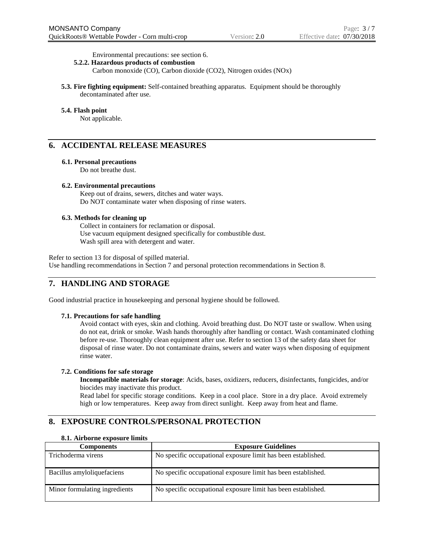Environmental precautions: see section 6.

#### **5.2.2. Hazardous products of combustion**

Carbon monoxide (CO), Carbon dioxide (CO2), Nitrogen oxides (NOx)

**5.3. Fire fighting equipment:** Self-contained breathing apparatus. Equipment should be thoroughly decontaminated after use.

#### **5.4. Flash point**

Not applicable.

# **6. ACCIDENTAL RELEASE MEASURES**

#### **6.1. Personal precautions**

Do not breathe dust.

#### **6.2. Environmental precautions**

Keep out of drains, sewers, ditches and water ways. Do NOT contaminate water when disposing of rinse waters.

#### **6.3. Methods for cleaning up**

Collect in containers for reclamation or disposal. Use vacuum equipment designed specifically for combustible dust. Wash spill area with detergent and water.

Refer to section 13 for disposal of spilled material. Use handling recommendations in Section 7 and personal protection recommendations in Section 8.

# **7. HANDLING AND STORAGE**

Good industrial practice in housekeeping and personal hygiene should be followed.

#### **7.1. Precautions for safe handling**

Avoid contact with eyes, skin and clothing. Avoid breathing dust. Do NOT taste or swallow. When using do not eat, drink or smoke. Wash hands thoroughly after handling or contact. Wash contaminated clothing before re-use. Thoroughly clean equipment after use. Refer to section 13 of the safety data sheet for disposal of rinse water. Do not contaminate drains, sewers and water ways when disposing of equipment rinse water.

#### **7.2. Conditions for safe storage**

**Incompatible materials for storage**: Acids, bases, oxidizers, reducers, disinfectants, fungicides, and/or biocides may inactivate this product.

Read label for specific storage conditions. Keep in a cool place. Store in a dry place. Avoid extremely high or low temperatures. Keep away from direct sunlight. Keep away from heat and flame.

# **8. EXPOSURE CONTROLS/PERSONAL PROTECTION**

| <b>Components</b>             | <b>Exposure Guidelines</b>                                    |
|-------------------------------|---------------------------------------------------------------|
| Trichoderma virens            | No specific occupational exposure limit has been established. |
| Bacillus amylolique faciens   | No specific occupational exposure limit has been established. |
| Minor formulating ingredients | No specific occupational exposure limit has been established. |

#### **8.1. Airborne exposure limits**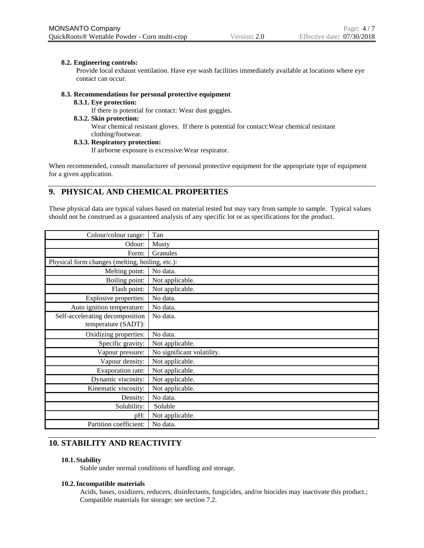#### **8.2. Engineering controls:**

Provide local exhaust ventilation. Have eye wash facilities immediately available at locations where eye contact can occur.

#### **8.3. Recommendations for personal protective equipment**

#### **8.3.1. Eye protection:**

If there is potential for contact: Wear dust goggles.

#### **8.3.2. Skin protection:**

Wear chemical resistant gloves. If there is potential for contact:Wear chemical resistant clothing/footwear.

#### **8.3.3. Respiratory protection:**

If airborne exposure is excessive:Wear respirator.

When recommended, consult manufacturer of personal protective equipment for the appropriate type of equipment for a given application.

# **9. PHYSICAL AND CHEMICAL PROPERTIES**

These physical data are typical values based on material tested but may vary from sample to sample. Typical values should not be construed as a guaranteed analysis of any specific lot or as specifications for the product.

| Colour/colour range:                            | Tan                        |
|-------------------------------------------------|----------------------------|
| Odour:                                          | Musty                      |
| Form:                                           | Granules                   |
| Physical form changes (melting, boiling, etc.): |                            |
| Melting point:                                  | No data.                   |
| Boiling point:                                  | Not applicable.            |
| Flash point:                                    | Not applicable.            |
| Explosive properties:                           | No data.                   |
| Auto ignition temperature:                      | No data.                   |
| Self-accelerating decomposition                 | No data.                   |
| temperature (SADT):                             |                            |
| Oxidizing properties:                           | No data.                   |
| Specific gravity:                               | Not applicable.            |
| Vapour pressure:                                | No significant volatility. |
| Vapour density:                                 | Not applicable.            |
| Evaporation rate:                               | Not applicable.            |
| Dynamic viscosity:                              | Not applicable.            |
| Kinematic viscosity:                            | Not applicable.            |
| Density:                                        | No data.                   |
| Solubility:                                     | Soluble                    |
| pH:                                             | Not applicable.            |
| Partition coefficient:                          | No data.                   |

# **10. STABILITY AND REACTIVITY**

#### **10.1. Stability**

Stable under normal conditions of handling and storage.

#### **10.2.Incompatible materials**

Acids, bases, oxidizers, reducers, disinfectants, fungicides, and/or biocides may inactivate this product.; Compatible materials for storage: see section 7.2.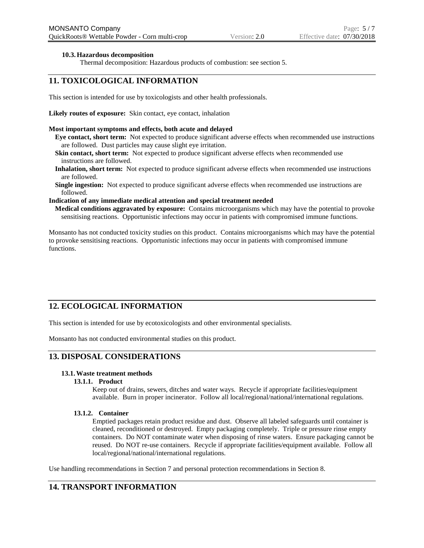#### **10.3.Hazardous decomposition**

Thermal decomposition: Hazardous products of combustion: see section 5.

# **11. TOXICOLOGICAL INFORMATION**

This section is intended for use by toxicologists and other health professionals.

**Likely routes of exposure:** Skin contact, eye contact, inhalation

#### **Most important symptoms and effects, both acute and delayed**

- **Eye contact, short term:** Not expected to produce significant adverse effects when recommended use instructions are followed. Dust particles may cause slight eye irritation.
- **Skin contact, short term:** Not expected to produce significant adverse effects when recommended use instructions are followed.
- **Inhalation, short term:** Not expected to produce significant adverse effects when recommended use instructions are followed.
- **Single ingestion:** Not expected to produce significant adverse effects when recommended use instructions are followed.

#### **Indication of any immediate medical attention and special treatment needed**

**Medical conditions aggravated by exposure:** Contains microorganisms which may have the potential to provoke sensitising reactions. Opportunistic infections may occur in patients with compromised immune functions.

Monsanto has not conducted toxicity studies on this product. Contains microorganisms which may have the potential to provoke sensitising reactions. Opportunistic infections may occur in patients with compromised immune functions.

# **12. ECOLOGICAL INFORMATION**

This section is intended for use by ecotoxicologists and other environmental specialists.

Monsanto has not conducted environmental studies on this product.

#### **13. DISPOSAL CONSIDERATIONS**

#### **13.1.Waste treatment methods**

### **13.1.1. Product**

Keep out of drains, sewers, ditches and water ways. Recycle if appropriate facilities/equipment available. Burn in proper incinerator. Follow all local/regional/national/international regulations.

#### **13.1.2. Container**

Emptied packages retain product residue and dust. Observe all labeled safeguards until container is cleaned, reconditioned or destroyed. Empty packaging completely. Triple or pressure rinse empty containers. Do NOT contaminate water when disposing of rinse waters. Ensure packaging cannot be reused. Do NOT re-use containers. Recycle if appropriate facilities/equipment available. Follow all local/regional/national/international regulations.

Use handling recommendations in Section 7 and personal protection recommendations in Section 8.

# **14. TRANSPORT INFORMATION**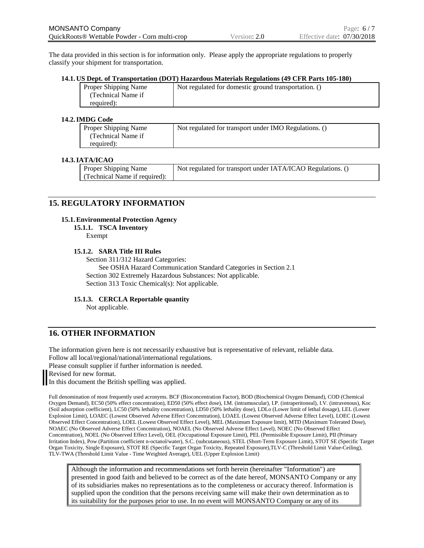The data provided in this section is for information only. Please apply the appropriate regulations to properly classify your shipment for transportation.

#### **14.1. US Dept. of Transportation (DOT) Hazardous Materials Regulations (49 CFR Parts 105-180)**

| Proper Shipping Name | Not regulated for domestic ground transportation. () |
|----------------------|------------------------------------------------------|
| (Technical Name if   |                                                      |
| required):           |                                                      |

#### **14.2.IMDG Code**

| Proper Shipping Name | Not regulated for transport under IMO Regulations. () |
|----------------------|-------------------------------------------------------|
| (Technical Name if   |                                                       |
| required):           |                                                       |

#### **14.3.IATA/ICAO**

| <b>Proper Shipping Name</b>   | Not regulated for transport under IATA/ICAO Regulations. () |
|-------------------------------|-------------------------------------------------------------|
| (Technical Name if required): |                                                             |

### **15. REGULATORY INFORMATION**

#### **15.1.Environmental Protection Agency**

#### **15.1.1. TSCA Inventory**

Exempt

#### **15.1.2. SARA Title III Rules**

Section 311/312 Hazard Categories:

See OSHA Hazard Communication Standard Categories in Section 2.1 Section 302 Extremely Hazardous Substances: Not applicable. Section 313 Toxic Chemical(s): Not applicable.

#### **15.1.3. CERCLA Reportable quantity**

Not applicable.

# **16. OTHER INFORMATION**

The information given here is not necessarily exhaustive but is representative of relevant, reliable data. Follow all local/regional/national/international regulations.

Please consult supplier if further information is needed.

Revised for new format.

In this document the British spelling was applied.

Full denomination of most frequently used acronyms. BCF (Bioconcentration Factor), BOD (Biochemical Oxygen Demand), COD (Chemical Oxygen Demand), EC50 (50% effect concentration), ED50 (50% effect dose), I.M. (intramuscular), I.P. (intraperitoneal), I.V. (intravenous), Koc (Soil adsorption coefficient), LC50 (50% lethality concentration), LD50 (50% lethality dose), LDLo (Lower limit of lethal dosage), LEL (Lower Explosion Limit), LOAEC (Lowest Observed Adverse Effect Concentration), LOAEL (Lowest Observed Adverse Effect Level), LOEC (Lowest Observed Effect Concentration), LOEL (Lowest Observed Effect Level), MEL (Maximum Exposure limit), MTD (Maximum Tolerated Dose), NOAEC (No Observed Adverse Effect Concentration), NOAEL (No Observed Adverse Effect Level), NOEC (No Observed Effect Concentration), NOEL (No Observed Effect Level), OEL (Occupational Exposure Limit), PEL (Permissible Exposure Limit), PII (Primary Irritation Index), Pow (Partition coefficient n-octanol/water), S.C. (subcutaneous), STEL (Short-Term Exposure Limit), STOT SE (Specific Target Organ Toxicity, Single Exposure), STOT RE (Specific Target Organ Toxicity, Repeated Exposure),TLV-C (Threshold Limit Value-Ceiling), TLV-TWA (Threshold Limit Value - Time Weighted Average), UEL (Upper Explosion Limit)

Although the information and recommendations set forth herein (hereinafter "Information") are presented in good faith and believed to be correct as of the date hereof, MONSANTO Company or any of its subsidiaries makes no representations as to the completeness or accuracy thereof. Information is supplied upon the condition that the persons receiving same will make their own determination as to its suitability for the purposes prior to use. In no event will MONSANTO Company or any of its